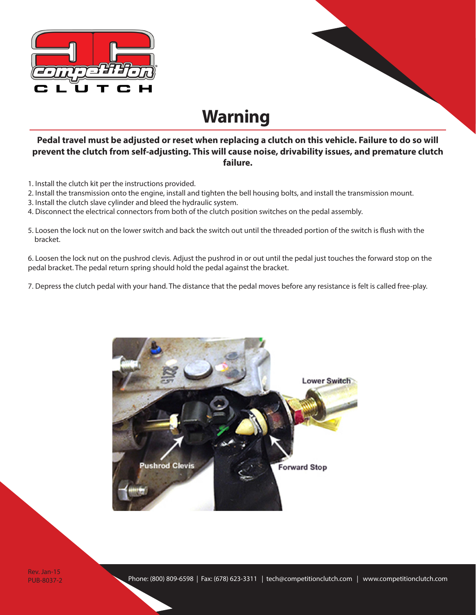

## **Warning**

## **Pedal travel must be adjusted or reset when replacing a clutch on this vehicle. Failure to do so will prevent the clutch from self-adjusting. This will cause noise, drivability issues, and premature clutch failure.**

- 1. Install the clutch kit per the instructions provided.
- 2. Install the transmission onto the engine, install and tighten the bell housing bolts, and install the transmission mount.
- 3. Install the clutch slave cylinder and bleed the hydraulic system.
- 4. Disconnect the electrical connectors from both of the clutch position switches on the pedal assembly.
- 5. Loosen the lock nut on the lower switch and back the switch out until the threaded portion of the switch is flush with the bracket.

6. Loosen the lock nut on the pushrod clevis. Adjust the pushrod in or out until the pedal just touches the forward stop on the pedal bracket. The pedal return spring should hold the pedal against the bracket.

7. Depress the clutch pedal with your hand. The distance that the pedal moves before any resistance is felt is called free-play.



Rev. Jan-15 PUB-8037-2